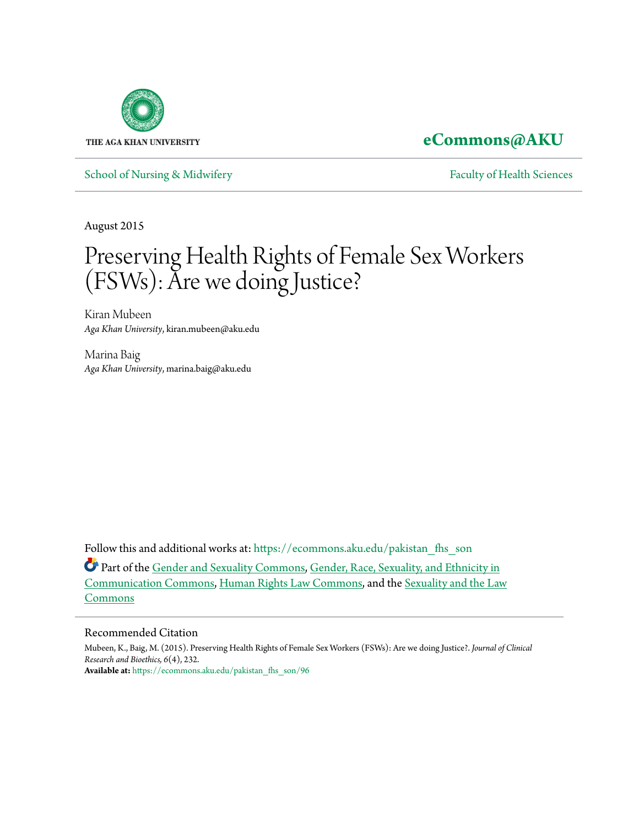

**[eCommons@AKU](https://ecommons.aku.edu?utm_source=ecommons.aku.edu%2Fpakistan_fhs_son%2F96&utm_medium=PDF&utm_campaign=PDFCoverPages)**

[School of Nursing & Midwifery](https://ecommons.aku.edu/pakistan_fhs_son?utm_source=ecommons.aku.edu%2Fpakistan_fhs_son%2F96&utm_medium=PDF&utm_campaign=PDFCoverPages) **[Faculty of Health Sciences](https://ecommons.aku.edu/pakistan_fhs?utm_source=ecommons.aku.edu%2Fpakistan_fhs_son%2F96&utm_medium=PDF&utm_campaign=PDFCoverPages)** Faculty of Health Sciences

August 2015

# Preserving Health Rights of Female Sex Workers (FSWs): Are we doing Justice?

Kiran Mubeen *Aga Khan University*, kiran.mubeen@aku.edu

Marina Baig *Aga Khan University*, marina.baig@aku.edu

Follow this and additional works at: [https://ecommons.aku.edu/pakistan\\_fhs\\_son](https://ecommons.aku.edu/pakistan_fhs_son?utm_source=ecommons.aku.edu%2Fpakistan_fhs_son%2F96&utm_medium=PDF&utm_campaign=PDFCoverPages)

Part of the [Gender and Sexuality Commons](http://network.bepress.com/hgg/discipline/420?utm_source=ecommons.aku.edu%2Fpakistan_fhs_son%2F96&utm_medium=PDF&utm_campaign=PDFCoverPages), [Gender, Race, Sexuality, and Ethnicity in](http://network.bepress.com/hgg/discipline/329?utm_source=ecommons.aku.edu%2Fpakistan_fhs_son%2F96&utm_medium=PDF&utm_campaign=PDFCoverPages) [Communication Commons,](http://network.bepress.com/hgg/discipline/329?utm_source=ecommons.aku.edu%2Fpakistan_fhs_son%2F96&utm_medium=PDF&utm_campaign=PDFCoverPages) [Human Rights Law Commons](http://network.bepress.com/hgg/discipline/847?utm_source=ecommons.aku.edu%2Fpakistan_fhs_son%2F96&utm_medium=PDF&utm_campaign=PDFCoverPages), and the [Sexuality and the Law](http://network.bepress.com/hgg/discipline/877?utm_source=ecommons.aku.edu%2Fpakistan_fhs_son%2F96&utm_medium=PDF&utm_campaign=PDFCoverPages) [Commons](http://network.bepress.com/hgg/discipline/877?utm_source=ecommons.aku.edu%2Fpakistan_fhs_son%2F96&utm_medium=PDF&utm_campaign=PDFCoverPages)

#### Recommended Citation

Mubeen, K., Baig, M. (2015). Preserving Health Rights of Female Sex Workers (FSWs): Are we doing Justice?. *Journal of Clinical Research and Bioethics, 6*(4), 232. **Available at:** [https://ecommons.aku.edu/pakistan\\_fhs\\_son/96](https://ecommons.aku.edu/pakistan_fhs_son/96)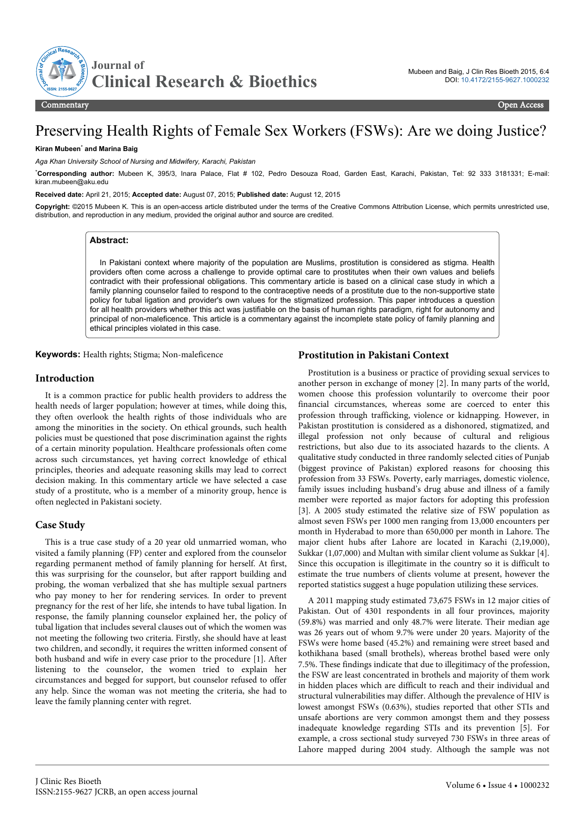

# Preserving Health Rights of Female Sex Workers (FSWs): Are we doing Justice?

#### **Kiran Mubeen**\*  **and Marina Baig**

*Aga Khan University School of Nursing and Midwifery, Karachi, Pakistan*

\***Corresponding author:** Mubeen K, 395/3, Inara Palace, Flat # 102, Pedro Desouza Road, Garden East, Karachi, Pakistan, Tel: 92 333 3181331; E-mail: kiran.mubeen@aku.edu

**Received date:** April 21, 2015; **Accepted date:** August 07, 2015; **Published date:** August 12, 2015

**Copyright:** ©2015 Mubeen K. This is an open-access article distributed under the terms of the Creative Commons Attribution License, which permits unrestricted use, distribution, and reproduction in any medium, provided the original author and source are credited.

#### **Abstract:**

In Pakistani context where majority of the population are Muslims, prostitution is considered as stigma. Health providers often come across a challenge to provide optimal care to prostitutes when their own values and beliefs contradict with their professional obligations. This commentary article is based on a clinical case study in which a family planning counselor failed to respond to the contraceptive needs of a prostitute due to the non-supportive state policy for tubal ligation and provider's own values for the stigmatized profession. This paper introduces a question for all health providers whether this act was justifiable on the basis of human rights paradigm, right for autonomy and principal of non-maleficence. This article is a commentary against the incomplete state policy of family planning and ethical principles violated in this case.

**Keywords:** Health rights; Stigma; Non-maleficence

#### **Prostitution in Pakistani Context**

#### **Introduction**

It is a common practice for public health providers to address the health needs of larger population; however at times, while doing this, they often overlook the health rights of those individuals who are among the minorities in the society. On ethical grounds, such health policies must be questioned that pose discrimination against the rights of a certain minority population. Healthcare professionals often come across such circumstances, yet having correct knowledge of ethical principles, theories and adequate reasoning skills may lead to correct decision making. In this commentary article we have selected a case study of a prostitute, who is a member of a minority group, hence is often neglected in Pakistani society.

#### **Case Study**

This is a true case study of a 20 year old unmarried woman, who visited a family planning (FP) center and explored from the counselor regarding permanent method of family planning for herself. At first, this was surprising for the counselor, but after rapport building and probing, the woman verbalized that she has multiple sexual partners who pay money to her for rendering services. In order to prevent pregnancy for the rest of her life, she intends to have tubal ligation. In response, the family planning counselor explained her, the policy of tubal ligation that includes several clauses out of which the women was not meeting the following two criteria. Firstly, she should have at least two children, and secondly, it requires the written informed consent of both husband and wife in every case prior to the procedure [1]. After listening to the counselor, the women tried to explain her circumstances and begged for support, but counselor refused to offer any help. Since the woman was not meeting the criteria, she had to leave the family planning center with regret.

Prostitution is a business or practice of providing sexual services to another person in exchange of money [2]. In many parts of the world, women choose this profession voluntarily to overcome their poor financial circumstances, whereas some are coerced to enter this profession through trafficking, violence or kidnapping. However, in Pakistan prostitution is considered as a dishonored, stigmatized, and illegal profession not only because of cultural and religious restrictions, but also due to its associated hazards to the clients. A qualitative study conducted in three randomly selected cities of Punjab (biggest province of Pakistan) explored reasons for choosing this profession from 33 FSWs. Poverty, early marriages, domestic violence, family issues including husband's drug abuse and illness of a family member were reported as major factors for adopting this profession [3]. A 2005 study estimated the relative size of FSW population as almost seven FSWs per 1000 men ranging from 13,000 encounters per month in Hyderabad to more than 650,000 per month in Lahore. The major client hubs after Lahore are located in Karachi (2,19,000), Sukkar (1,07,000) and Multan with similar client volume as Sukkar [4]. Since this occupation is illegitimate in the country so it is difficult to estimate the true numbers of clients volume at present, however the reported statistics suggest a huge population utilizing these services.

A 2011 mapping study estimated 73,675 FSWs in 12 major cities of Pakistan. Out of 4301 respondents in all four provinces, majority (59.8%) was married and only 48.7% were literate. Their median age was 26 years out of whom 9.7% were under 20 years. Majority of the FSWs were home based (45.2%) and remaining were street based and kothikhana based (small brothels), whereas brothel based were only 7.5%. These findings indicate that due to illegitimacy of the profession, the FSW are least concentrated in brothels and majority of them work in hidden places which are difficult to reach and their individual and structural vulnerabilities may differ. Although the prevalence of HIV is lowest amongst FSWs (0.63%), studies reported that other STIs and unsafe abortions are very common amongst them and they possess inadequate knowledge regarding STIs and its prevention [5]. For example, a cross sectional study surveyed 730 FSWs in three areas of Lahore mapped during 2004 study. Although the sample was not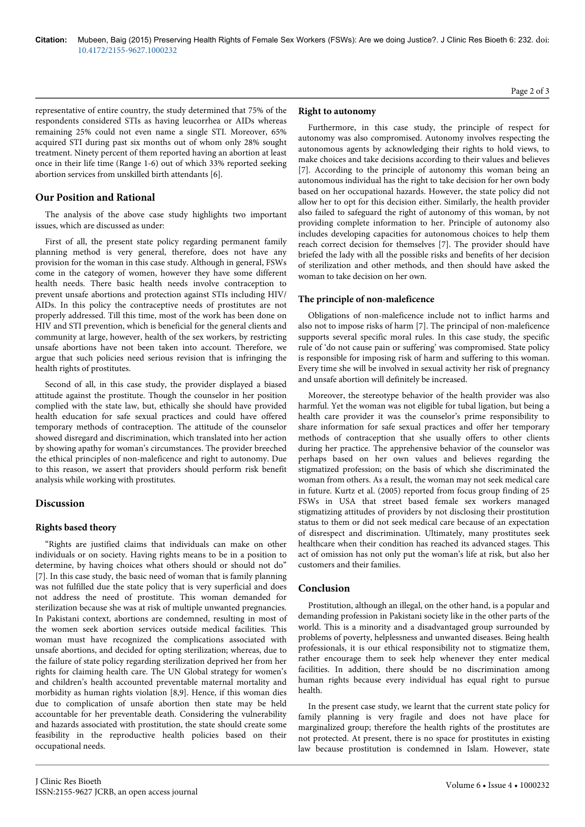representative of entire country, the study determined that 75% of the respondents considered STIs as having leucorrhea or AIDs whereas remaining 25% could not even name a single STI. Moreover, 65% acquired STI during past six months out of whom only 28% sought treatment. Ninety percent of them reported having an abortion at least once in their life time (Range 1-6) out of which 33% reported seeking abortion services from unskilled birth attendants [6].

## **Our Position and Rational**

The analysis of the above case study highlights two important issues, which are discussed as under:

First of all, the present state policy regarding permanent family planning method is very general, therefore, does not have any provision for the woman in this case study. Although in general, FSWs come in the category of women, however they have some different health needs. There basic health needs involve contraception to prevent unsafe abortions and protection against STIs including HIV/ AIDs. In this policy the contraceptive needs of prostitutes are not properly addressed. Till this time, most of the work has been done on HIV and STI prevention, which is beneficial for the general clients and community at large, however, health of the sex workers, by restricting unsafe abortions have not been taken into account. Therefore, we argue that such policies need serious revision that is infringing the health rights of prostitutes.

Second of all, in this case study, the provider displayed a biased attitude against the prostitute. Though the counselor in her position complied with the state law, but, ethically she should have provided health education for safe sexual practices and could have offered temporary methods of contraception. The attitude of the counselor showed disregard and discrimination, which translated into her action by showing apathy for woman's circumstances. The provider breeched the ethical principles of non-maleficence and right to autonomy. Due to this reason, we assert that providers should perform risk benefit analysis while working with prostitutes.

#### **Discussion**

#### **Rights based theory**

"Rights are justified claims that individuals can make on other individuals or on society. Having rights means to be in a position to determine, by having choices what others should or should not do" [7]. In this case study, the basic need of woman that is family planning was not fulfilled due the state policy that is very superficial and does not address the need of prostitute. This woman demanded for sterilization because she was at risk of multiple unwanted pregnancies. In Pakistani context, abortions are condemned, resulting in most of the women seek abortion services outside medical facilities. This woman must have recognized the complications associated with unsafe abortions, and decided for opting sterilization; whereas, due to the failure of state policy regarding sterilization deprived her from her rights for claiming health care. The UN Global strategy for women's and children's health accounted preventable maternal mortality and morbidity as human rights violation [8,9]. Hence, if this woman dies due to complication of unsafe abortion then state may be held accountable for her preventable death. Considering the vulnerability and hazards associated with prostitution, the state should create some feasibility in the reproductive health policies based on their occupational needs.

#### **Right to autonomy**

Furthermore, in this case study, the principle of respect for autonomy was also compromised. Autonomy involves respecting the autonomous agents by acknowledging their rights to hold views, to make choices and take decisions according to their values and believes [7]. According to the principle of autonomy this woman being an autonomous individual has the right to take decision for her own body based on her occupational hazards. However, the state policy did not allow her to opt for this decision either. Similarly, the health provider also failed to safeguard the right of autonomy of this woman, by not providing complete information to her. Principle of autonomy also includes developing capacities for autonomous choices to help them reach correct decision for themselves [7]. The provider should have briefed the lady with all the possible risks and benefits of her decision of sterilization and other methods, and then should have asked the woman to take decision on her own.

#### **The principle of non-maleficence**

Obligations of non-maleficence include not to inflict harms and also not to impose risks of harm [7]. The principal of non-maleficence supports several specific moral rules. In this case study, the specific rule of 'do not cause pain or suffering' was compromised. State policy is responsible for imposing risk of harm and suffering to this woman. Every time she will be involved in sexual activity her risk of pregnancy and unsafe abortion will definitely be increased.

Moreover, the stereotype behavior of the health provider was also harmful. Yet the woman was not eligible for tubal ligation, but being a health care provider it was the counselor's prime responsibility to share information for safe sexual practices and offer her temporary methods of contraception that she usually offers to other clients during her practice. The apprehensive behavior of the counselor was perhaps based on her own values and believes regarding the stigmatized profession; on the basis of which she discriminated the woman from others. As a result, the woman may not seek medical care in future. Kurtz et al. (2005) reported from focus group finding of 25 FSWs in USA that street based female sex workers managed stigmatizing attitudes of providers by not disclosing their prostitution status to them or did not seek medical care because of an expectation of disrespect and discrimination. Ultimately, many prostitutes seek healthcare when their condition has reached its advanced stages. This act of omission has not only put the woman's life at risk, but also her customers and their families.

#### **Conclusion**

Prostitution, although an illegal, on the other hand, is a popular and demanding profession in Pakistani society like in the other parts of the world. This is a minority and a disadvantaged group surrounded by problems of poverty, helplessness and unwanted diseases. Being health professionals, it is our ethical responsibility not to stigmatize them, rather encourage them to seek help whenever they enter medical facilities. In addition, there should be no discrimination among human rights because every individual has equal right to pursue health.

In the present case study, we learnt that the current state policy for family planning is very fragile and does not have place for marginalized group; therefore the health rights of the prostitutes are not protected. At present, there is no space for prostitutes in existing law because prostitution is condemned in Islam. However, state